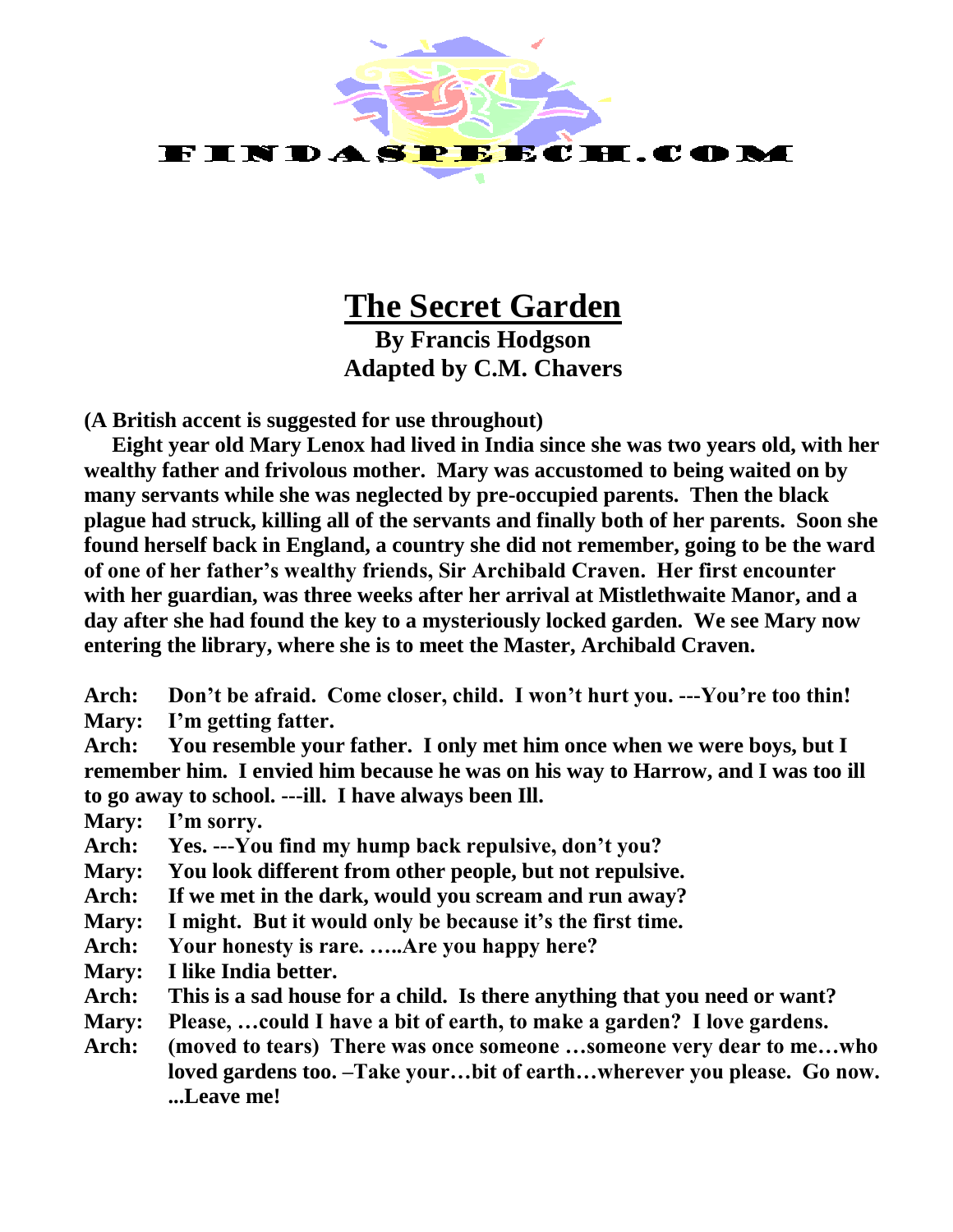

# **The Secret Garden**

**By Francis Hodgson Adapted by C.M. Chavers**

**(A British accent is suggested for use throughout)**

**Eight year old Mary Lenox had lived in India since she was two years old, with her wealthy father and frivolous mother. Mary was accustomed to being waited on by many servants while she was neglected by pre-occupied parents. Then the black plague had struck, killing all of the servants and finally both of her parents. Soon she found herself back in England, a country she did not remember, going to be the ward of one of her father's wealthy friends, Sir Archibald Craven. Her first encounter with her guardian, was three weeks after her arrival at Mistlethwaite Manor, and a day after she had found the key to a mysteriously locked garden. We see Mary now entering the library, where she is to meet the Master, Archibald Craven.**

**Arch: Don't be afraid. Come closer, child. I won't hurt you. ---You're too thin! Mary: I'm getting fatter.**

**Arch: You resemble your father. I only met him once when we were boys, but I remember him. I envied him because he was on his way to Harrow, and I was too ill to go away to school. ---ill. I have always been Ill.**

**Mary: I'm sorry.**

**Arch: Yes. ---You find my hump back repulsive, don't you?**

**Mary: You look different from other people, but not repulsive.**

**Arch: If we met in the dark, would you scream and run away?**

- **Mary: I might. But it would only be because it's the first time.**
- **Arch: Your honesty is rare. …..Are you happy here?**
- **Mary: I like India better.**
- **Arch: This is a sad house for a child. Is there anything that you need or want?**
- **Mary: Please, …could I have a bit of earth, to make a garden? I love gardens.**
- **Arch: (moved to tears) There was once someone …someone very dear to me…who loved gardens too. –Take your…bit of earth…wherever you please. Go now. ...Leave me!**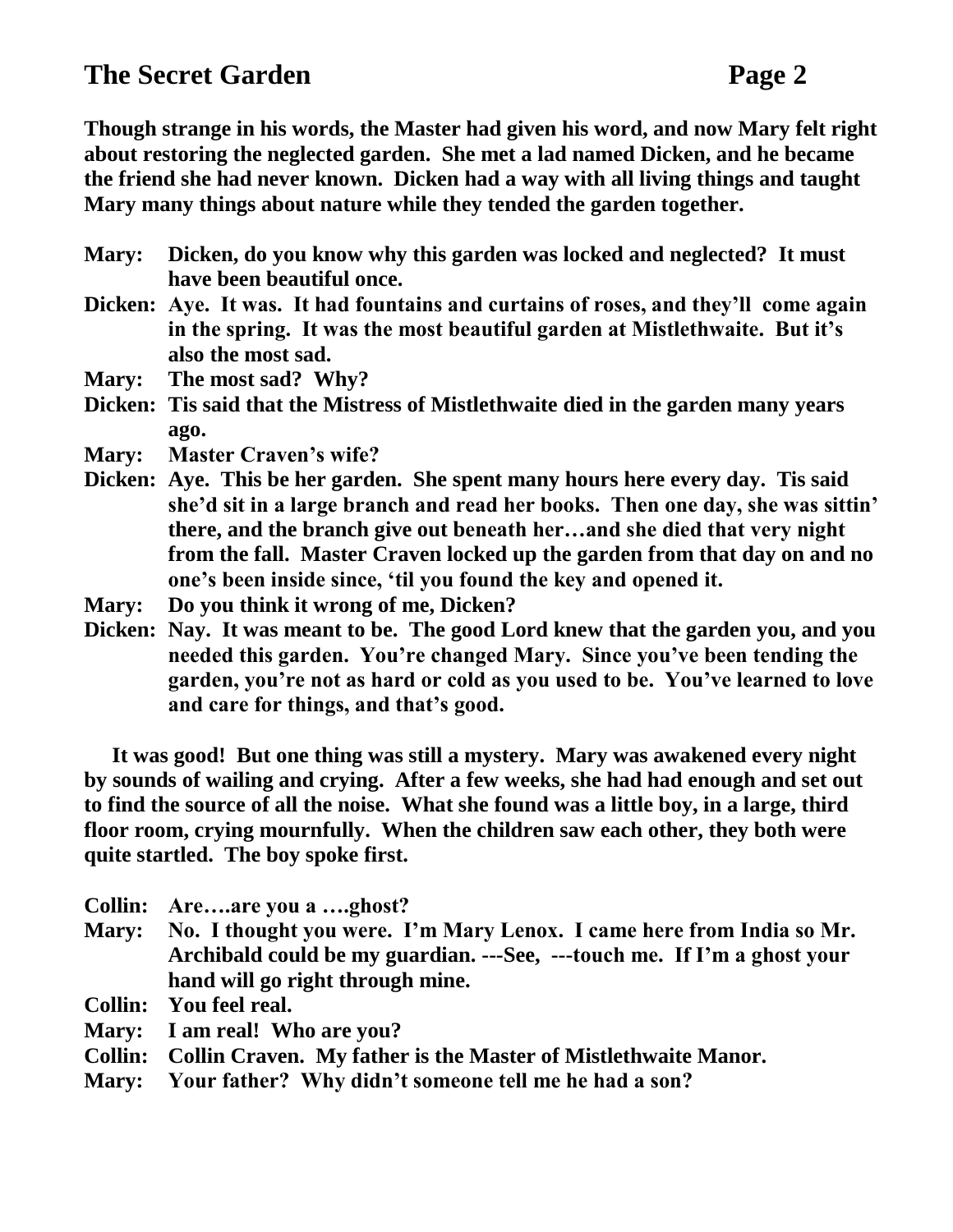**Though strange in his words, the Master had given his word, and now Mary felt right about restoring the neglected garden. She met a lad named Dicken, and he became the friend she had never known. Dicken had a way with all living things and taught Mary many things about nature while they tended the garden together.**

- **Mary: Dicken, do you know why this garden was locked and neglected? It must have been beautiful once.**
- **Dicken: Aye. It was. It had fountains and curtains of roses, and they'll come again in the spring. It was the most beautiful garden at Mistlethwaite. But it's also the most sad.**
- **Mary: The most sad? Why?**
- **Dicken: Tis said that the Mistress of Mistlethwaite died in the garden many years ago.**
- **Mary: Master Craven's wife?**
- **Dicken: Aye. This be her garden. She spent many hours here every day. Tis said she'd sit in a large branch and read her books. Then one day, she was sittin' there, and the branch give out beneath her…and she died that very night from the fall. Master Craven locked up the garden from that day on and no one's been inside since, 'til you found the key and opened it.**
- **Mary: Do you think it wrong of me, Dicken?**
- **Dicken: Nay. It was meant to be. The good Lord knew that the garden you, and you needed this garden. You're changed Mary. Since you've been tending the garden, you're not as hard or cold as you used to be. You've learned to love and care for things, and that's good.**

**It was good! But one thing was still a mystery. Mary was awakened every night by sounds of wailing and crying. After a few weeks, she had had enough and set out to find the source of all the noise. What she found was a little boy, in a large, third floor room, crying mournfully. When the children saw each other, they both were quite startled. The boy spoke first.**

- **Collin: Are….are you a ….ghost?**
- **Mary: No. I thought you were. I'm Mary Lenox. I came here from India so Mr. Archibald could be my guardian. ---See, ---touch me. If I'm a ghost your hand will go right through mine.**

**Collin: You feel real.**

- **Mary: I am real! Who are you?**
- **Collin: Collin Craven. My father is the Master of Mistlethwaite Manor.**
- **Mary: Your father? Why didn't someone tell me he had a son?**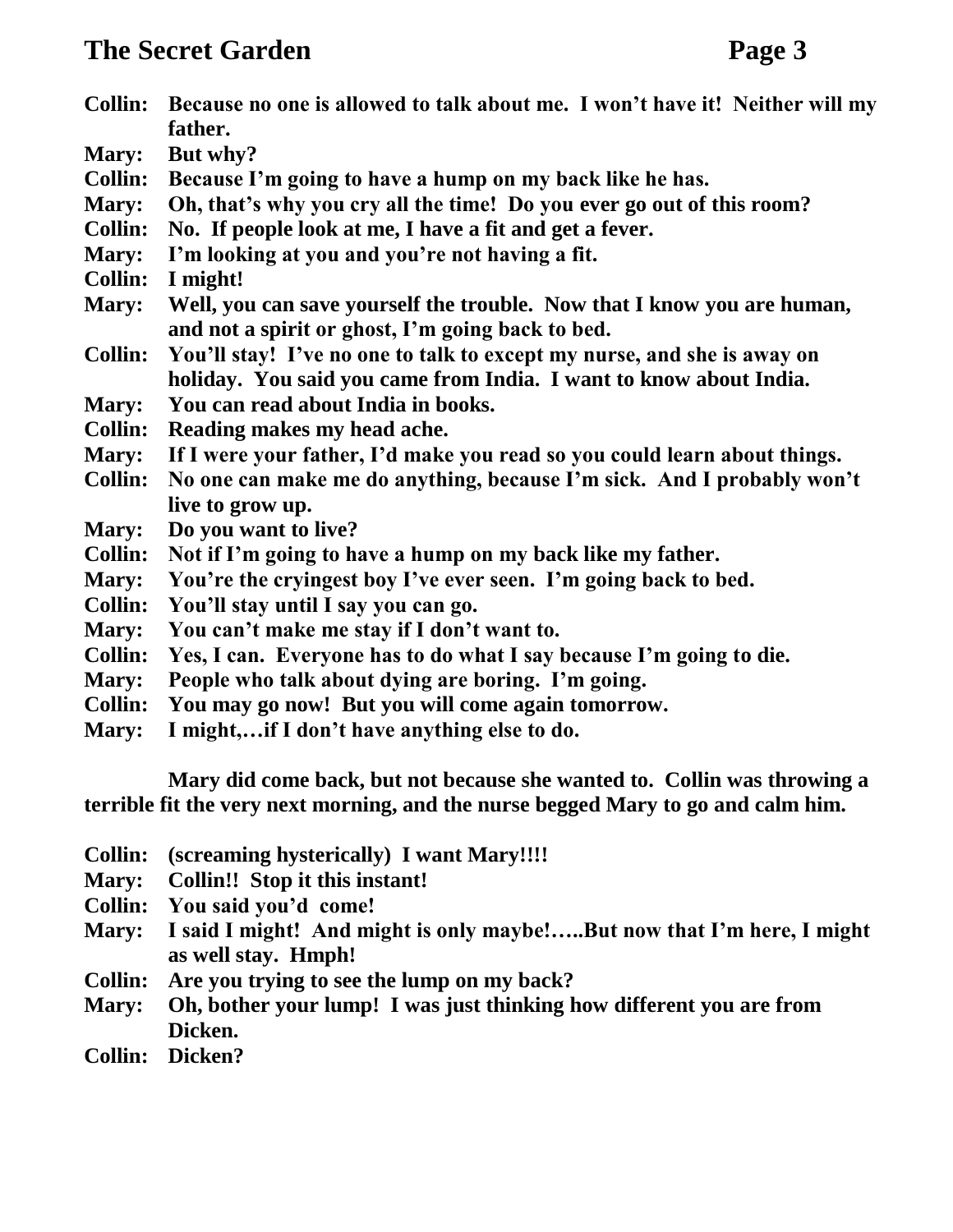- **Collin: Because no one is allowed to talk about me. I won't have it! Neither will my father.**
- **Mary: But why?**
- **Collin: Because I'm going to have a hump on my back like he has.**
- **Mary: Oh, that's why you cry all the time! Do you ever go out of this room?**
- **Collin: No. If people look at me, I have a fit and get a fever.**
- **Mary: I'm looking at you and you're not having a fit.**
- **Collin: I might!**
- **Mary: Well, you can save yourself the trouble. Now that I know you are human, and not a spirit or ghost, I'm going back to bed.**
- **Collin: You'll stay! I've no one to talk to except my nurse, and she is away on holiday. You said you came from India. I want to know about India.**
- **Mary: You can read about India in books.**
- **Collin: Reading makes my head ache.**
- **Mary: If I were your father, I'd make you read so you could learn about things.**
- **Collin: No one can make me do anything, because I'm sick. And I probably won't live to grow up.**
- **Mary: Do you want to live?**
- **Collin: Not if I'm going to have a hump on my back like my father.**
- **Mary: You're the cryingest boy I've ever seen. I'm going back to bed.**
- **Collin: You'll stay until I say you can go.**
- **Mary: You can't make me stay if I don't want to.**
- **Collin: Yes, I can. Everyone has to do what I say because I'm going to die.**
- **Mary: People who talk about dying are boring. I'm going.**
- **Collin: You may go now! But you will come again tomorrow.**
- **Mary: I might,…if I don't have anything else to do.**

**Mary did come back, but not because she wanted to. Collin was throwing a terrible fit the very next morning, and the nurse begged Mary to go and calm him.**

- **Collin: (screaming hysterically) I want Mary!!!!**
- **Mary: Collin!! Stop it this instant!**
- **Collin: You said you'd come!**
- **Mary: I said I might! And might is only maybe!…..But now that I'm here, I might as well stay. Hmph!**
- **Collin: Are you trying to see the lump on my back?**
- **Mary: Oh, bother your lump! I was just thinking how different you are from Dicken.**
- **Collin: Dicken?**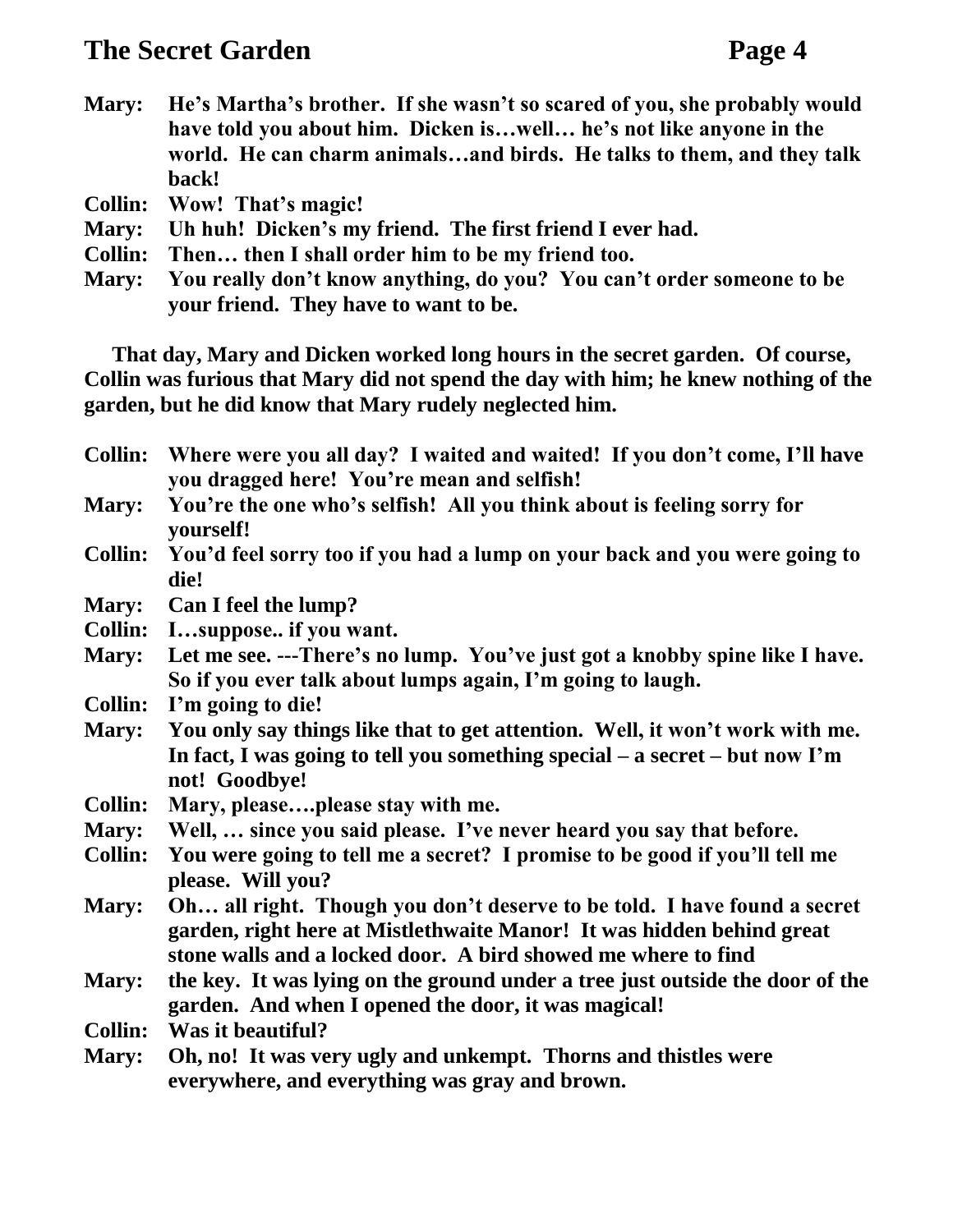- **Mary: He's Martha's brother. If she wasn't so scared of you, she probably would have told you about him. Dicken is…well… he's not like anyone in the world. He can charm animals…and birds. He talks to them, and they talk back!**
- **Collin: Wow! That's magic!**
- **Mary: Uh huh! Dicken's my friend. The first friend I ever had.**
- **Collin: Then… then I shall order him to be my friend too.**
- **Mary: You really don't know anything, do you? You can't order someone to be your friend. They have to want to be.**

**That day, Mary and Dicken worked long hours in the secret garden. Of course, Collin was furious that Mary did not spend the day with him; he knew nothing of the garden, but he did know that Mary rudely neglected him.**

- **Collin: Where were you all day? I waited and waited! If you don't come, I'll have you dragged here! You're mean and selfish!**
- **Mary: You're the one who's selfish! All you think about is feeling sorry for yourself!**
- **Collin: You'd feel sorry too if you had a lump on your back and you were going to die!**
- **Mary: Can I feel the lump?**
- **Collin: I…suppose.. if you want.**
- **Mary: Let me see. ---There's no lump. You've just got a knobby spine like I have. So if you ever talk about lumps again, I'm going to laugh.**
- **Collin: I'm going to die!**
- **Mary: You only say things like that to get attention. Well, it won't work with me. In fact, I was going to tell you something special – a secret – but now I'm not! Goodbye!**
- **Collin: Mary, please….please stay with me.**
- **Mary: Well, … since you said please. I've never heard you say that before.**
- **Collin: You were going to tell me a secret? I promise to be good if you'll tell me please. Will you?**
- **Mary: Oh… all right. Though you don't deserve to be told. I have found a secret garden, right here at Mistlethwaite Manor! It was hidden behind great stone walls and a locked door. A bird showed me where to find**
- **Mary: the key. It was lying on the ground under a tree just outside the door of the garden. And when I opened the door, it was magical!**
- **Collin: Was it beautiful?**
- **Mary: Oh, no! It was very ugly and unkempt. Thorns and thistles were everywhere, and everything was gray and brown.**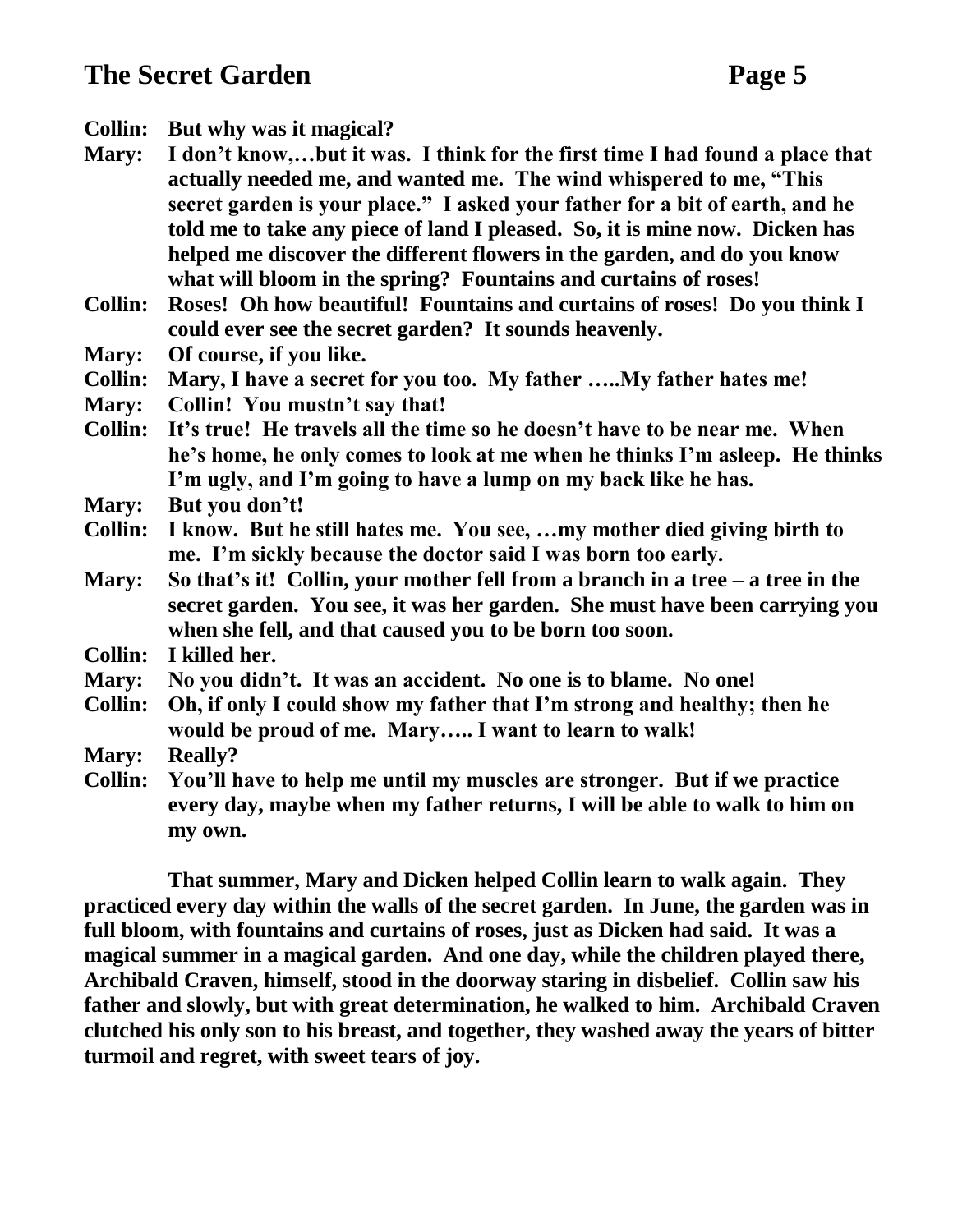- **Collin: But why was it magical?**
- **Mary: I don't know,…but it was. I think for the first time I had found a place that actually needed me, and wanted me. The wind whispered to me, "This secret garden is your place." I asked your father for a bit of earth, and he told me to take any piece of land I pleased. So, it is mine now. Dicken has helped me discover the different flowers in the garden, and do you know what will bloom in the spring? Fountains and curtains of roses!**
- **Collin: Roses! Oh how beautiful! Fountains and curtains of roses! Do you think I could ever see the secret garden? It sounds heavenly.**
- **Mary: Of course, if you like.**
- **Collin: Mary, I have a secret for you too. My father …..My father hates me!**
- **Mary: Collin! You mustn't say that!**
- **Collin: It's true! He travels all the time so he doesn't have to be near me. When he's home, he only comes to look at me when he thinks I'm asleep. He thinks I'm ugly, and I'm going to have a lump on my back like he has.**
- **Mary: But you don't!**
- **Collin: I know. But he still hates me. You see, …my mother died giving birth to me. I'm sickly because the doctor said I was born too early.**
- **Mary: So that's it! Collin, your mother fell from a branch in a tree – a tree in the secret garden. You see, it was her garden. She must have been carrying you when she fell, and that caused you to be born too soon.**
- **Collin: I killed her.**
- **Mary: No you didn't. It was an accident. No one is to blame. No one!**
- **Collin: Oh, if only I could show my father that I'm strong and healthy; then he would be proud of me. Mary….. I want to learn to walk!**
- **Mary: Really?**
- **Collin: You'll have to help me until my muscles are stronger. But if we practice every day, maybe when my father returns, I will be able to walk to him on my own.**

**That summer, Mary and Dicken helped Collin learn to walk again. They practiced every day within the walls of the secret garden. In June, the garden was in full bloom, with fountains and curtains of roses, just as Dicken had said. It was a magical summer in a magical garden. And one day, while the children played there, Archibald Craven, himself, stood in the doorway staring in disbelief. Collin saw his father and slowly, but with great determination, he walked to him. Archibald Craven clutched his only son to his breast, and together, they washed away the years of bitter turmoil and regret, with sweet tears of joy.**